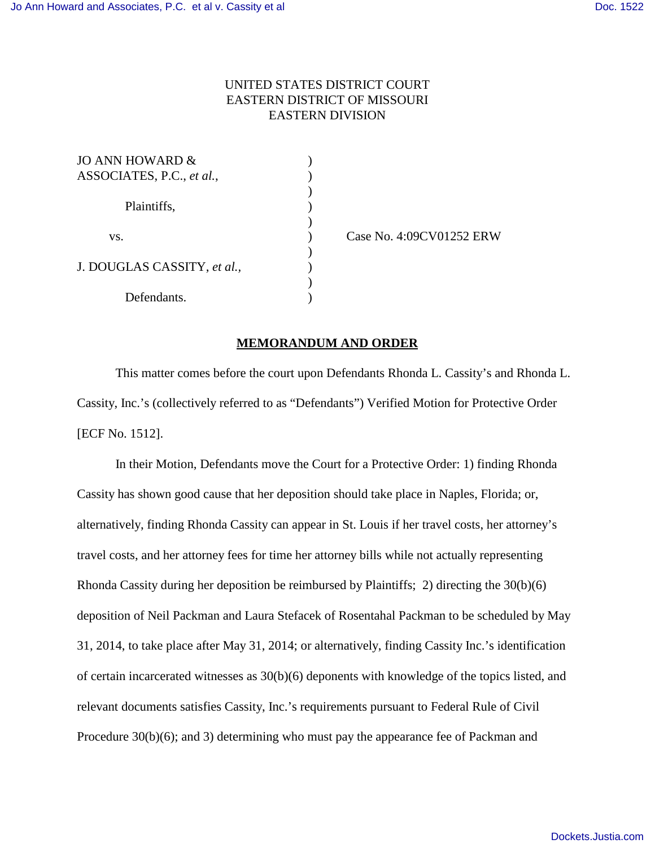## UNITED STATES DISTRICT COURT EASTERN DISTRICT OF MISSOURI EASTERN DIVISION

)

)

)

)

| JO ANN HOWARD &                                 |  |
|-------------------------------------------------|--|
| ASSOCIATES, P.C., et al.,<br>Plaintiffs,<br>VS. |  |
|                                                 |  |
|                                                 |  |
|                                                 |  |
|                                                 |  |
|                                                 |  |
| J. DOUGLAS CASSITY, et al.,                     |  |
|                                                 |  |
| Defendants.                                     |  |

) Case No. 4:09CV01252 ERW

## **MEMORANDUM AND ORDER**

This matter comes before the court upon Defendants Rhonda L. Cassity's and Rhonda L. Cassity, Inc.'s (collectively referred to as "Defendants") Verified Motion for Protective Order [ECF No. 1512].

In their Motion, Defendants move the Court for a Protective Order: 1) finding Rhonda Cassity has shown good cause that her deposition should take place in Naples, Florida; or, alternatively, finding Rhonda Cassity can appear in St. Louis if her travel costs, her attorney's travel costs, and her attorney fees for time her attorney bills while not actually representing Rhonda Cassity during her deposition be reimbursed by Plaintiffs; 2) directing the 30(b)(6) deposition of Neil Packman and Laura Stefacek of Rosentahal Packman to be scheduled by May 31, 2014, to take place after May 31, 2014; or alternatively, finding Cassity Inc.'s identification of certain incarcerated witnesses as 30(b)(6) deponents with knowledge of the topics listed, and relevant documents satisfies Cassity, Inc.'s requirements pursuant to Federal Rule of Civil Procedure 30(b)(6); and 3) determining who must pay the appearance fee of Packman and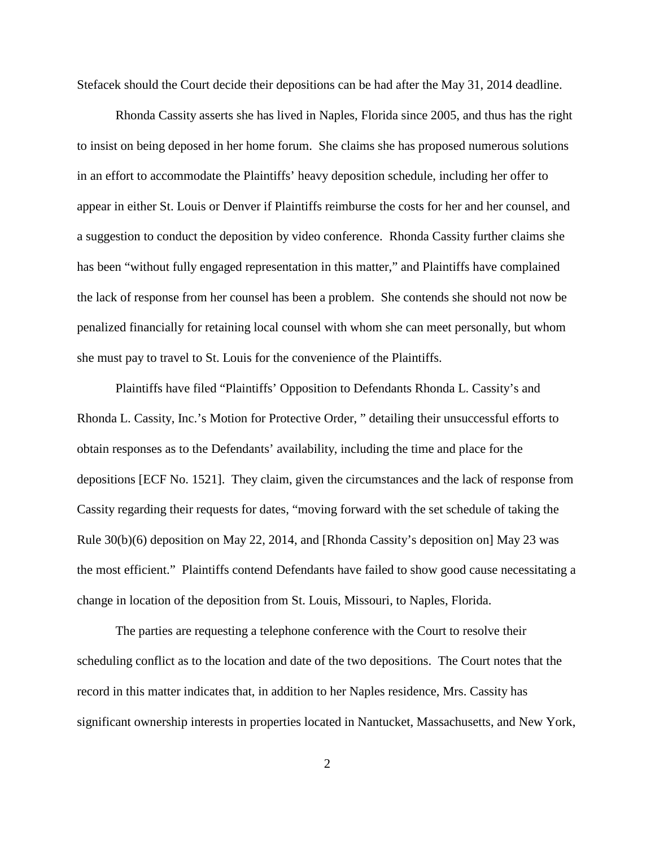Stefacek should the Court decide their depositions can be had after the May 31, 2014 deadline.

Rhonda Cassity asserts she has lived in Naples, Florida since 2005, and thus has the right to insist on being deposed in her home forum. She claims she has proposed numerous solutions in an effort to accommodate the Plaintiffs' heavy deposition schedule, including her offer to appear in either St. Louis or Denver if Plaintiffs reimburse the costs for her and her counsel, and a suggestion to conduct the deposition by video conference. Rhonda Cassity further claims she has been "without fully engaged representation in this matter," and Plaintiffs have complained the lack of response from her counsel has been a problem. She contends she should not now be penalized financially for retaining local counsel with whom she can meet personally, but whom she must pay to travel to St. Louis for the convenience of the Plaintiffs.

Plaintiffs have filed "Plaintiffs' Opposition to Defendants Rhonda L. Cassity's and Rhonda L. Cassity, Inc.'s Motion for Protective Order, " detailing their unsuccessful efforts to obtain responses as to the Defendants' availability, including the time and place for the depositions [ECF No. 1521]. They claim, given the circumstances and the lack of response from Cassity regarding their requests for dates, "moving forward with the set schedule of taking the Rule 30(b)(6) deposition on May 22, 2014, and [Rhonda Cassity's deposition on] May 23 was the most efficient." Plaintiffs contend Defendants have failed to show good cause necessitating a change in location of the deposition from St. Louis, Missouri, to Naples, Florida.

The parties are requesting a telephone conference with the Court to resolve their scheduling conflict as to the location and date of the two depositions. The Court notes that the record in this matter indicates that, in addition to her Naples residence, Mrs. Cassity has significant ownership interests in properties located in Nantucket, Massachusetts, and New York,